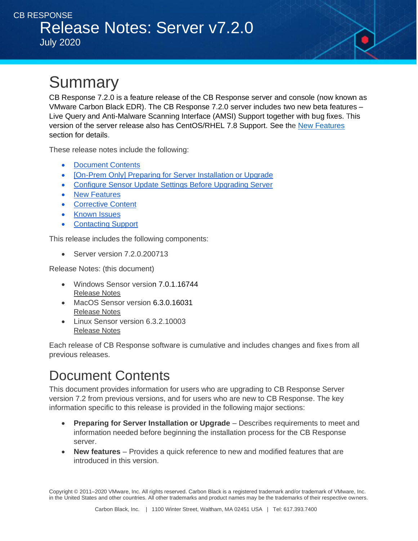# **Summary**

CB Response 7.2.0 is a feature release of the CB Response server and console (now known as VMware Carbon Black EDR). The CB Response 7.2.0 server includes two new beta features – Live Query and Anti-Malware Scanning Interface (AMSI) Support together with bug fixes. This version of the server release also has CentOS/RHEL 7.8 Support. See the New Features section for details.

These release notes include the following:

- [Document Contents](#page-0-0)
- [\[On-Prem Only\] Preparing for Server Installation or Upgrade](#page-1-0)
- [Configure Sensor Update Settings Before Upgrading Server](#page-2-0)
- [New Features](#page-3-0)
- [Corrective Content](#page-4-0)
- [Known Issues](#page-5-0)
- [Contacting Support](#page-5-1)

This release includes the following components:

• Server version 7.2.0.200713

Release Notes: (this document)

- Windows Sensor version [7.0.1.16744](https://artifactory-re.bit9.local/artifactory/list/production/cbr/product/cbsensor/win/WHQL-signed/release-7.0.1-win/7.0.1.16744/) [Release Notes](https://community.carbonblack.com/t5/Documentation-Downloads/VMware-CB-EDR-Windows-Sensor-7-0-1-Release-Notes/ta-p/91986)
- MacOS Sensor version 6.3.0.16031 [Release Notes](https://community.carbonblack.com/t5/Documentation-Downloads/VMware-CB-EDR-Mac-Sensor-6-3-0-Release-Notes/ta-p/90230)
- Linux Sensor version 6.3.2.10003 [Release Notes](https://community.carbonblack.com/t5/Documentation-Downloads/CB-EDR-Linux-Sensor-v6-3-2-Release-Notes/ta-p/91442)

Each release of CB Response software is cumulative and includes changes and fixes from all previous releases.

# <span id="page-0-0"></span>Document Contents

This document provides information for users who are upgrading to CB Response Server version 7.2 from previous versions, and for users who are new to CB Response. The key information specific to this release is provided in the following major sections:

- **Preparing for Server Installation or Upgrade** Describes requirements to meet and information needed before beginning the installation process for the CB Response server.
- **New features** Provides a quick reference to new and modified features that are introduced in this version.

Copyright © 2011–2020 VMware, Inc. All rights reserved. Carbon Black is a registered trademark and/or trademark of VMware, Inc. in the United States and other countries. All other trademarks and product names may be the trademarks of their respective owners.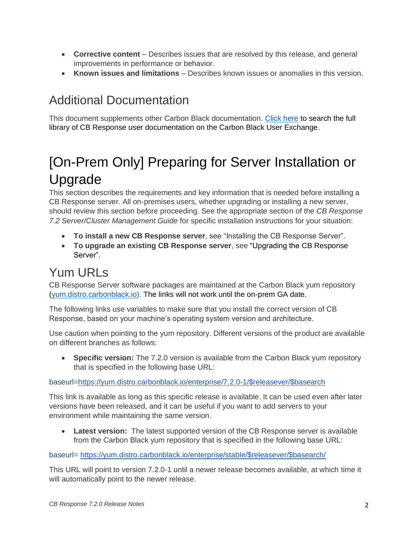- **Corrective content** Describes issues that are resolved by this release, and general improvements in performance or behavior.
- **Known issues and limitations** Describes known issues or anomalies in this version.

### Additional Documentation

This document supplements other Carbon Black documentation. [Click here](https://community.carbonblack.com/t5/Documentation-Downloads/tkb-p/product-docs-news/label-name/CB%20Response) to search the full library of CB Response user documentation on the Carbon Black User Exchange.

# <span id="page-1-0"></span>[On-Prem Only] Preparing for Server Installation or Upgrade

This section describes the requirements and key information that is needed before installing a CB Response server. All on-premises users, whether upgrading or installing a new server, should review this section before proceeding. See the appropriate section of the *CB Response 7.2 Server/Cluster Management Guide* for specific installation instructions for your situation:

- **To install a new CB Response server**, see "Installing the CB Response Server".
- **To upgrade an existing CB Response server**, see "Upgrading the CB Response Server".

### Yum URLs

CB Response Server software packages are maintained at the Carbon Black yum repository [\(yum.distro.carbonblack.io\)](http://yum.distro.carbonblack.io/). The links will not work until the on-prem GA date.

The following links use variables to make sure that you install the correct version of CB Response, based on your machine's operating system version and architecture.

Use caution when pointing to the yum repository. Different versions of the product are available on different branches as follows:

• **Specific version:** The 7.2.0 version is available from the Carbon Black yum repository that is specified in the following base URL:

#### baseurl[=https://yum.distro.carbonblack.io/enterprise/7.2.0-1/\\$releasever/\\$basearch](https://yum.distro.carbonblack.io/enterprise/6.2.3-1/$releasever/$basearch)

This link is available as long as this specific release is available. It can be used even after later versions have been released, and it can be useful if you want to add servers to your environment while maintaining the same version.

**Latest version:** The latest supported version of the CB Response server is available from the Carbon Black yum repository that is specified in the following base URL:

baseurl= [https://yum.distro.carbonblack.io/enterprise/stable/\\$releasever/\\$basearch/](https://yum.distro.carbonblack.io/enterprise/stable/$releasever/$basearch/)

This URL will point to version 7.2.0-1 until a newer release becomes available, at which time it will automatically point to the newer release.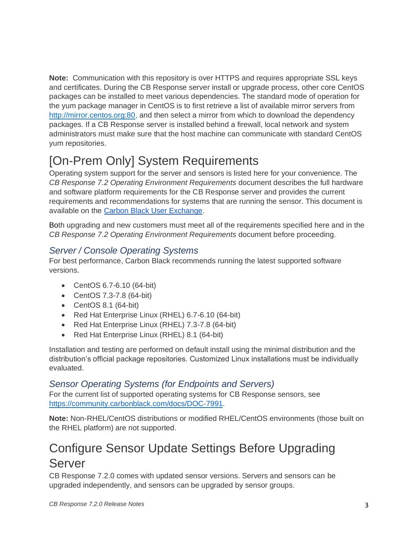**Note:** Communication with this repository is over HTTPS and requires appropriate SSL keys and certificates. During the CB Response server install or upgrade process, other core CentOS packages can be installed to meet various dependencies. The standard mode of operation for the yum package manager in CentOS is to first retrieve a list of available mirror servers from [http://mirror.centos.org:80,](http://mirror.centos.org/) and then select a mirror from which to download the dependency packages. If a CB Response server is installed behind a firewall, local network and system administrators must make sure that the host machine can communicate with standard CentOS yum repositories.

## [On-Prem Only] System Requirements

Operating system support for the server and sensors is listed here for your convenience. The *CB Response 7.2 Operating Environment Requirements* document describes the full hardware and software platform requirements for the CB Response server and provides the current requirements and recommendations for systems that are running the sensor. This document is available on the [Carbon Black User Exchange.](https://community.carbonblack.com/)

Both upgrading and new customers must meet all of the requirements specified here and in the *CB Response 7.2 Operating Environment Requirements* document before proceeding.

#### *Server / Console Operating Systems*

For best performance, Carbon Black recommends running the latest supported software versions.

- CentOS 6.7-6.10 (64-bit)
- CentOS 7.3-7.8 (64-bit)
- CentOS 8.1 (64-bit)
- Red Hat Enterprise Linux (RHEL) 6.7-6.10 (64-bit)
- Red Hat Enterprise Linux (RHEL) 7.3-7.8 (64-bit)
- Red Hat Enterprise Linux (RHEL) 8.1 (64-bit)

Installation and testing are performed on default install using the minimal distribution and the distribution's official package repositories. Customized Linux installations must be individually evaluated.

#### *Sensor Operating Systems (for Endpoints and Servers)*

For the current list of supported operating systems for CB Response sensors, see [https://community.carbonblack.com/docs/DOC-7991.](https://community.carbonblack.com/docs/DOC-7991)

**Note:** Non-RHEL/CentOS distributions or modified RHEL/CentOS environments (those built on the RHEL platform) are not supported.

### <span id="page-2-0"></span>Configure Sensor Update Settings Before Upgrading Server

CB Response 7.2.0 comes with updated sensor versions. Servers and sensors can be upgraded independently, and sensors can be upgraded by sensor groups.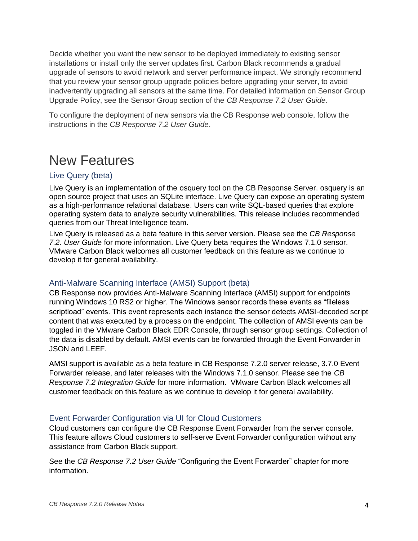Decide whether you want the new sensor to be deployed immediately to existing sensor installations or install only the server updates first. Carbon Black recommends a gradual upgrade of sensors to avoid network and server performance impact. We strongly recommend that you review your sensor group upgrade policies before upgrading your server, to avoid inadvertently upgrading all sensors at the same time. For detailed information on Sensor Group Upgrade Policy, see the Sensor Group section of the *CB Response 7.2 User Guide*.

To configure the deployment of new sensors via the CB Response web console, follow the instructions in the *CB Response 7.2 User Guide*.

### <span id="page-3-0"></span>New Features

#### Live Query (beta)

Live Query is an implementation of the osquery tool on the CB Response Server. osquery is an open source project that uses an SQLite interface. Live Query can expose an operating system as a high-performance relational database. Users can write SQL-based queries that explore operating system data to analyze security vulnerabilities. This release includes recommended queries from our Threat Intelligence team.

Live Query is released as a beta feature in this server version. Please see the *CB Response 7.2. User Guide* for more information. Live Query beta requires the Windows 7.1.0 sensor. VMware Carbon Black welcomes all customer feedback on this feature as we continue to develop it for general availability.

#### Anti-Malware Scanning Interface (AMSI) Support (beta)

CB Response now provides Anti-Malware Scanning Interface (AMSI) support for endpoints running Windows 10 RS2 or higher. The Windows sensor records these events as "fileless scriptload" events. This event represents each instance the sensor detects AMSI-decoded script content that was executed by a process on the endpoint. The collection of AMSI events can be toggled in the VMware Carbon Black EDR Console, through sensor group settings. Collection of the data is disabled by default. AMSI events can be forwarded through the Event Forwarder in JSON and LEEF.

AMSI support is available as a beta feature in CB Response 7.2.0 server release, 3.7.0 Event Forwarder release, and later releases with the Windows 7.1.0 sensor. Please see the *CB Response 7.2 Integration Guide* for more information. VMware Carbon Black welcomes all customer feedback on this feature as we continue to develop it for general availability.

#### Event Forwarder Configuration via UI for Cloud Customers

Cloud customers can configure the CB Response Event Forwarder from the server console. This feature allows Cloud customers to self-serve Event Forwarder configuration without any assistance from Carbon Black support.

See the *CB Response 7.2 User Guide* "Configuring the Event Forwarder" chapter for more information.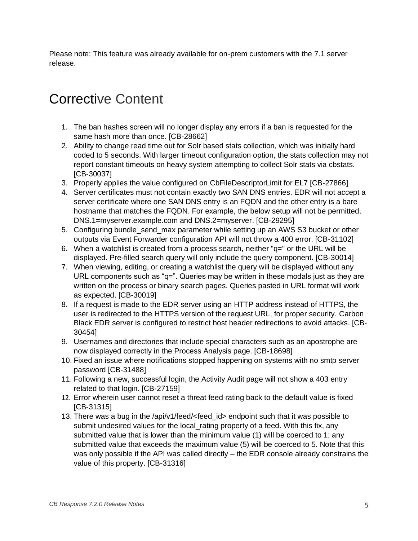Please note: This feature was already available for on-prem customers with the 7.1 server release.

# <span id="page-4-0"></span>Corrective Content

- 1. The ban hashes screen will no longer display any errors if a ban is requested for the same hash more than once. [CB-28662]
- 2. Ability to change read time out for Solr based stats collection, which was initially hard coded to 5 seconds. With larger timeout configuration option, the stats collection may not report constant timeouts on heavy system attempting to collect Solr stats via cbstats. [CB-30037]
- 3. Properly applies the value configured on CbFileDescriptorLimit for EL7 [CB-27866]
- 4. Server certificates must not contain exactly two SAN DNS entries. EDR will not accept a server certificate where one SAN DNS entry is an FQDN and the other entry is a bare hostname that matches the FQDN. For example, the below setup will not be permitted. DNS.1=myserver.example.com and DNS.2=myserver. [CB-29295]
- 5. Configuring bundle\_send\_max parameter while setting up an AWS S3 bucket or other outputs via Event Forwarder configuration API will not throw a 400 error. [CB-31102]
- 6. When a watchlist is created from a process search, neither "q=" or the URL will be displayed. Pre-filled search query will only include the query component. [CB-30014]
- 7. When viewing, editing, or creating a watchlist the query will be displayed without any URL components such as "q=". Queries may be written in these modals just as they are written on the process or binary search pages. Queries pasted in URL format will work as expected. [CB-30019]
- 8. If a request is made to the EDR server using an HTTP address instead of HTTPS, the user is redirected to the HTTPS version of the request URL, for proper security. Carbon Black EDR server is configured to restrict host header redirections to avoid attacks. [CB-30454]
- 9. Usernames and directories that include special characters such as an apostrophe are now displayed correctly in the Process Analysis page. [CB-18698]
- 10. Fixed an issue where notifications stopped happening on systems with no smtp server password [CB-31488]
- 11. Following a new, successful login, the Activity Audit page will not show a 403 entry related to that login. [CB-27159]
- 12. Error wherein user cannot reset a threat feed rating back to the default value is fixed [CB-31315]
- 13. There was a bug in the /api/v1/feed/<feed\_id> endpoint such that it was possible to submit undesired values for the local\_rating property of a feed. With this fix, any submitted value that is lower than the minimum value (1) will be coerced to 1; any submitted value that exceeds the maximum value (5) will be coerced to 5. Note that this was only possible if the API was called directly – the EDR console already constrains the value of this property. [CB-31316]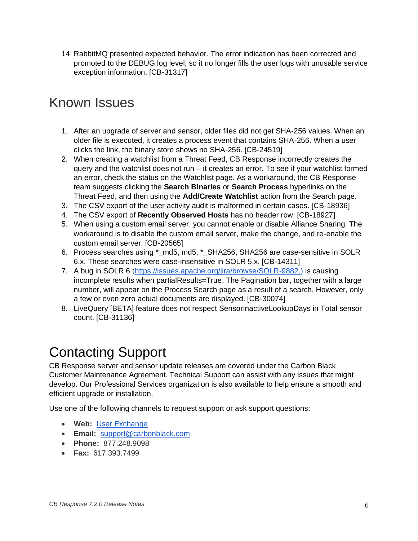14. RabbitMQ presented expected behavior. The error indication has been corrected and promoted to the DEBUG log level, so it no longer fills the user logs with unusable service exception information. [CB-31317]

### <span id="page-5-0"></span>Known Issues

- 1. After an upgrade of server and sensor, older files did not get SHA-256 values. When an older file is executed, it creates a process event that contains SHA-256. When a user clicks the link, the binary store shows no SHA-256. [CB-24519]
- 2. When creating a watchlist from a Threat Feed, CB Response incorrectly creates the query and the watchlist does not run – it creates an error. To see if your watchlist formed an error, check the status on the Watchlist page. As a workaround, the CB Response team suggests clicking the **Search Binaries** or **Search Process** hyperlinks on the Threat Feed, and then using the **Add/Create Watchlist** action from the Search page.
- 3. The CSV export of the user activity audit is malformed in certain cases. [CB-18936]
- 4. The CSV export of **Recently Observed Hosts** has no header row. [CB-18927]
- 5. When using a custom email server, you cannot enable or disable Alliance Sharing. The workaround is to disable the custom email server, make the change, and re-enable the custom email server. [CB-20565]
- 6. Process searches using \*\_md5, md5, \*\_SHA256, SHA256 are case-sensitive in SOLR 6.x. These searches were case-insensitive in SOLR 5.x. [CB-14311]
- 7. A bug in SOLR 6 [\(https://issues.apache.org/jira/browse/SOLR-9882.\)](https://issues.apache.org/jira/browse/SOLR-9882.) is causing incomplete results when partialResults=True. The Pagination bar, together with a large number, will appear on the Process Search page as a result of a search. However, only a few or even zero actual documents are displayed. [CB-30074]
- 8. LiveQuery [BETA] feature does not respect SensorInactiveLookupDays in Total sensor count. [CB-31136]

# <span id="page-5-1"></span>Contacting Support

CB Response server and sensor update releases are covered under the Carbon Black Customer Maintenance Agreement. Technical Support can assist with any issues that might develop. Our Professional Services organization is also available to help ensure a smooth and efficient upgrade or installation.

Use one of the following channels to request support or ask support questions:

- **Web:** [User Exchange](https://community.carbonblack.com/)
- **Email:** [support@carbonblack.com](mailto:support@carbonblack.com)
- **Phone:** 877.248.9098
- **Fax:** 617.393.7499